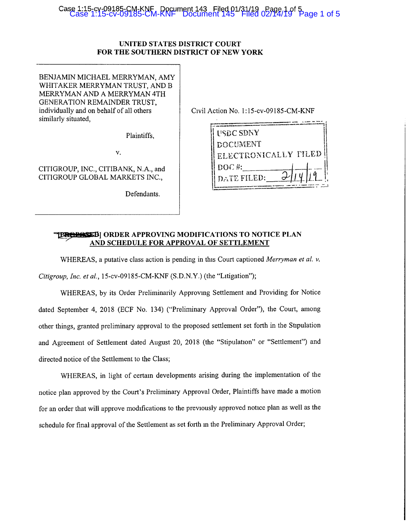## Case 1:15-cv-09185-CM-KNF Document 143 Filed 01/31/19 Page 1 of 5 Case 1:15-cv-09185-CM-KNF Document 145 Filed 02/14/19 Page 1 of 5

#### **UNITED STATES DISTRICT COURT FOR THE SOUTHERN DISTRICT OF NEW YORK**

BENJAMIN MICHAEL MERRYMAN, AMY WHITAKER MERRYMAN TRUST, AND B MERRYMAN AND A MERRYMAN 4TH GENERATION REMAINDER TRUST, individually and on behalf of all others similarly situated,

Plaintiffs,

V.

CITIGROUP, INC., CITIBANK, N.A., and CITIGROUP GLOBAL MARKETS INC.,

Defendants.

| <b>DOCUMENT</b><br>ELECTRONICALLY FILED | <b>I'SDC SDNY</b> |  |
|-----------------------------------------|-------------------|--|
|                                         |                   |  |
|                                         |                   |  |
|                                         | $DOC#$ :          |  |

#### **~f?JF8] ORDER APPROVING MODIFICATIONS TO NOTICE PLAN AND SCHEDULE FOR APPROVAL OF SETTLEMENT**

WHEREAS, a putative class action is pending in this Court captioned *Merryman et al. v.* 

*Citigroup, Inc. et al.,* 15-cv-09185-CM-KNF (S.D.N.Y.) (the "Litigation");

WHEREAS, by its Order Preliminarily Approvmg Settlement and Providing for Notice dated September 4, 2018 (ECF No. 134) ("Preliminary Approval Order"), the Court, among other things, granted preliminary approval to the proposed settlement set forth in the Stipulation and Agreement of Settlement dated August 20, 2018 (the "Stipulation" or "Settlement") and directed notice of the Settlement to the Class;

WHEREAS, in light of certam developments arising during the implementation of the notice plan approved by the Court's Preliminary Approval Order, Plaintiffs have made a motion for an order that will approve modifications to the previously approved notice plan as well as the schedule for final approval of the Settlement as set forth m the Preliminary Approval Order;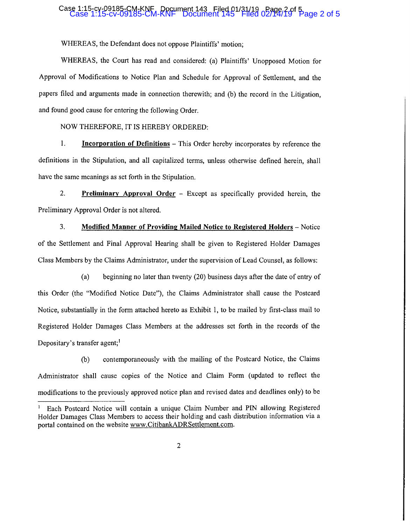## Case 1:15-cv-09185-CM-KNF Document 143 Filed 01/31/19 Page 2 of 5 Case 1:15-cv-09185-CM-KNF Document 145 Filed 02/14/19 Page 2 of 5

WHEREAS, the Defendant does not oppose Plaintiffs' motion;

WHEREAS, the Court has read and considered: (a) Plaintiffs' Unopposed Motion for Approval of Modifications to Notice Plan and Schedule for Approval of Settlement, and the papers filed and arguments made in connection therewith; and (b) the record in the Litigation, and found good cause for entering the following Order.

NOW THEREFORE, IT IS HEREBY ORDERED:

**1.** Incorporation of Definitions – This Order hereby incorporates by reference the definitions in the Stipulation, and all capitalized terms, unless otherwise defined herein, shall have the same meanings as set forth in the Stipulation.

2. **Preliminary Approval Order** - Except as specifically provided herein, the Preliminary Approval Order is not altered.

3. **Modified Manner of Providing Mailed Notice to Registered Holders** - Notice of the Settlement and Final Approval Hearing shall be given to Registered Holder Damages Class Members by the Claims Administrator, under the supervision of Lead Counsel, as follows:

(a) beginning no later than twenty (20) business days after the date of entry of this Order (the "Modified Notice Date"), the Claims Administrator shall cause the Postcard Notice, substantially in the form attached hereto as Exhibit 1, to be mailed by first-class mail to Registered Holder Damages Class Members at the addresses set forth in the records of the Depositary's transfer agent; $<sup>1</sup>$ </sup>

(b) contemporaneously with the mailing of the Postcard Notice, the Claims Administrator shall cause copies of the Notice and Claim Form (updated to reflect the modifications to the previously approved notice plan and revised dates and deadlines only) to be

<sup>&</sup>lt;sup>1</sup> Each Postcard Notice will contain a unique Claim Number and PIN allowing Registered Holder Damages Class Members to access their holding and cash distribution information via a portal contained on the website www.CitibankADRSettlement.com.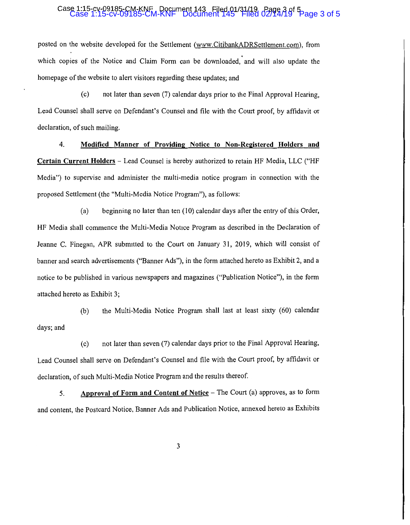# Case 1:15-cv-09185-CM-KNF Document 143 Filed 01/31/19 Page 3 of 5 Case 1:15-cv-09185-CM-KNF Document 145 Filed 02/14/19 Page 3 of 5

posted on the website developed for the Settlement (www.CitibankADRSettlement.com), from which copies of the Notice and Claim Form can be downloaded, and will also update the homepage of the website to alert visitors regarding these updates; and

(c) not later than seven (7) calendar days prior to the Final Approval Hearing, Lead Counsel shall serve on Defendant's Counsel and file with the Court proof, by affidavit or declaration, of such mailing.

4. **Modified Manner of Providing Notice to Non-Registered Holders and Certain Current Holders** - Lead Counsel is hereby authorized to retain HF Media, LLC ("HF Media") to supervise and administer the multi-media notice program in connection with the proposed Settlement (the "Multi-Media Notice Program"), as follows:

(a) beginning no later than ten (IO) calendar days after the entry of this Order, HF Media shall commence the Multi-Media Notice Program as described in the Declaration of Jeanne C. Finegan, APR submitted to the Court on January 31, 2019, which will consist of banner and search advertisements ("Banner Ads"), in the form attached hereto as Exhibit 2, and a notice to be published in various newspapers and magazines ("Publication Notice"), in the form attached hereto as Exhibit 3;

(b) the Multi-Media Notice Program shall last at least sixty (60) calendar days;and

(c) not later than seven (7) calendar days prior to the Final Approval Hearing, Lead Counsel shall serve on Defendant's Counsel and file with the Court proof, by affidavit or declaration, of such Multi-Media Notice Program and the results thereof.

5. **Approval of Form and Content of Notice** - The Court (a) approves, as to form and content, the Postcard Notice, Banner Ads and Publication Notice, annexed hereto as Exhibits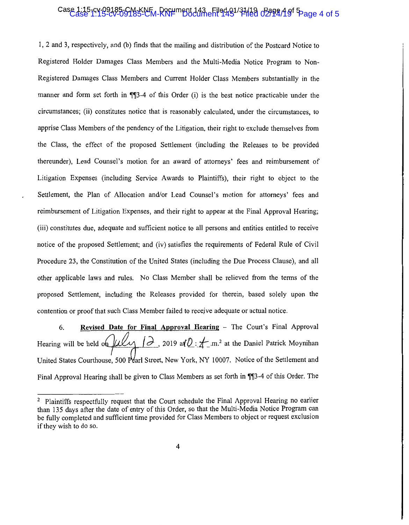### Case 1:15-cv-09185-CM-KNF Document 143 Filed 01/31/19 Pagg4 A of 5<br>Case 1:15-cv-09185-CM-KNF Document 145 Filed 02/14A of 5

1, 2 and 3, respectively, and (b) finds that the mailing and distribution of the Postcard Notice to Registered Holder Damages Class Members and the Multi-Media Notice Program to Non-Registered Damages Class Members and Current Holder Class Members substantially in the manner and form set forth in  $\P$  $3-4$  of this Order (i) is the best notice practicable under the circumstances; (ii) constitutes notice that is reasonably calculated, under the circumstances, to apprise Class Members of the pendency of the Litigation, their right to exclude themselves from the Class, the effect of the proposed Settlement (including the Releases to be provided thereunder), Lead Counsel's motion for an award of attorneys' fees and reimbursement of Litigation Expenses (including Service Awards to Plaintiffs), their right to object to the Settlement, the Plan of Allocation and/or Lead Counsel's motion for attorneys' fees and reimbursement of Litigation Expenses, and their right to appear at the Final Approval Hearing; (iii) constitutes due, adequate and sufficient notice to all persons and entities entitled to receive notice of the proposed Settlement; and (iv) satisfies the requirements of Federal Rule of Civil Procedure 23, the Constitution of the United States (including the Due Process Clause), and all other applicable laws and rules. No Class Member shall be relieved from the terms of the proposed Settlement, including the Releases provided for therein, based solely upon the contention or proof that such Class Member failed to recejve adequate or actual notice.

6. **Revised Date for Final Approval Hearing -** The Court's Final Approval Hearing will be held on  $\mu\ell\ell\gamma$  |  $\partial$ , 2019 at  $\hat{v}$ :  $\pm$  m.<sup>2</sup> at the Daniel Patrick Moynihan United States Courthouse, 500 Pearl Street, New York, NY 10007. Notice of the Settlement and Final Approval Hearing shall be given to Class Members as set forth in  $\P$ ]3-4 of this Order. The

<sup>&</sup>lt;sup>2</sup> Plaintiffs respectfully request that the Court schedule the Final Approval Hearing no earlier than 135 days after the date of entry of this Order, so that the Multi-Media Notice Program can be fully completed and sufficient time provided for Class Members to object or request exclusion if they wish to do so.